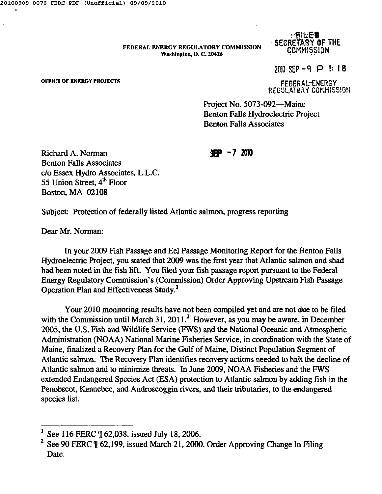FEDERAL ENERGY REGULATORY COMMISSION Washington, D. C. 20426

## $\cdot$ Fileed  $\cdot$ . SECRETARY OF THE COMMISSION

 $2010$  SEP -9  $\bigoplus$  1: 18

**OFFICE OF ENERGY PROJECTS** 

FEDERAL-ENERGY REGULATORY COMMISSION

Project No. 5073-092-Maine Benton Falls Hydroelectric Project Benton Falls Associates

3EP -7 <sup>2010</sup>

Richard A. Norman Benton Falls Associates c/o Essex Hydro Associates, L.L.C. 55 Union Street, 4<sup>th</sup> Floor Boston, MA 02108

Subject: Protection of federally listed Atlantic salmon, progress reporting

Dear Mr. Norman:

In your 2009 Fish Passage and Eel Passage Monitoring Report for the Benton Falls Hydroelectric Project, you stated that 2009 was the first year that Atlantic salmon and shad had been noted in the fish lift. You filed your fish passage report pursuant to the Federal Energy Regulatory Commission's (Commission) Order Approving Upstream Fish Passage Operation Plan and Effectiveness Study.!

Your 2010 monitoring results have not been compiled yet and are not due to be filed with the Commission until March 31, 2011.<sup>2</sup> However, as you may be aware, in December 2005, the U.S. Fish and Wildlife Service (FWS) and the National Oceanic and Atmospheric Administration (NOAA) National Marine Fisheries Service, in coordination with the State of Maine, finalized a Recovery Plan for the Gulf of Maine, Distinct Population Segment of Atlantic salmon. The Recovery Plan identifies recovery actions needed to halt the decline of Atlantic salmon and to minimize threats. In June 2009, NOAA Fisheries and the FWS extended Endangered Species Act (ESA) protection to Atlantic salmon by adding fish in the Penobscot, Kennebec, and Androscoggin rivers, and their tributaries, to the endangered species list.

See 116 FERC \[ 62,038, issued July 18, 2006.

See 90 FERC '| 62.199, issued March 21, 2000. Order Approving Change In Filing Date.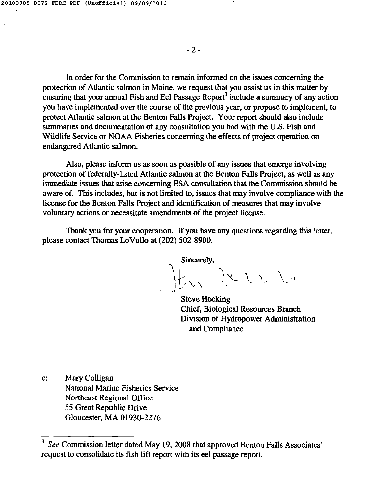$\ddot{\phantom{a}}$ 

- 2-

In order for the Commission to remain informed on the issues concerning the protection of Atlantic salmon in Maine, we request that you assist us in this matter by ensuring that your annual Fish and Eel Passage Report<sup>3</sup> include a summary of any actior you have implemented over the course of the previous year, or propose to implement, to protect Atlantic salmon at the Benton Falls Project. Your report should also include summaries and documentation of any consultation you had with the U.S. Fish and Wildlife Service or NOAA Fisheries concerning the effects of project operation on endangered Atlantic salmon.

Also, please inform us as soon as possible of any issues that emerge involving protection of federally-listed Atlantic salmon at the Benton Falls Project, as well as any immediate issues that arise concerning ESA consultation that the Commission should be aware of. This includes, but is not limited to, issues that may involve compliance with the license for the Benton Falls Project and identification of measures that may involve voluntary actions or necessitate amendments of the project license.

Thank you for your cooperation. If you have any questions regarding this letter, please contact Thomas LoVullo at (202) 502-8900.

Sincerely,  $\int \chi$  ) is ,  $\backslash$  .

Steve Hocking Chief, Biological Resources Branch Division of Hydropower Administration and Compliance

c: Mary Colligan National Marine Fisheries Service Northeast Regional Office 55 Great Republic Drive Gloucester, MA 01930-2276

<sup>&</sup>lt;sup>3</sup> See Commission letter dated May 19, 2008 that approved Benton Falls Associates' request to consolidate its fish lift report with its eel passage report.